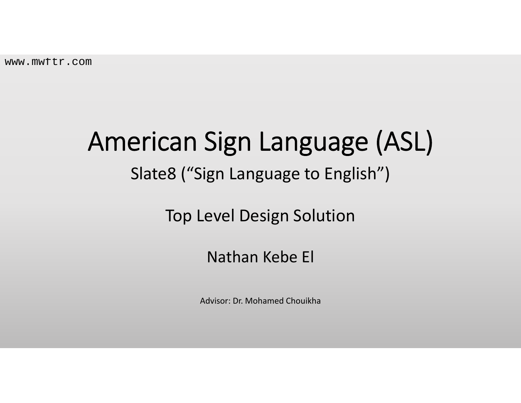www.mwftr.com

# American Sign Language (ASL)

#### Slate8 ("Sign Language to English")

Top Level Design Solution

Nathan Kebe El

Advisor: Dr. Mohamed Chouikha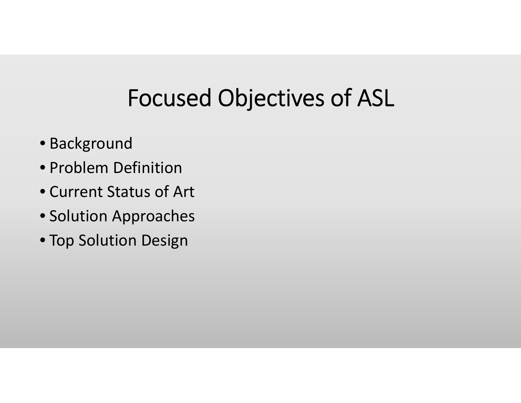# Focused Objectives of ASL

- Background
- Problem Definition
- Current Status of Art
- Solution Approaches
- Top Solution Design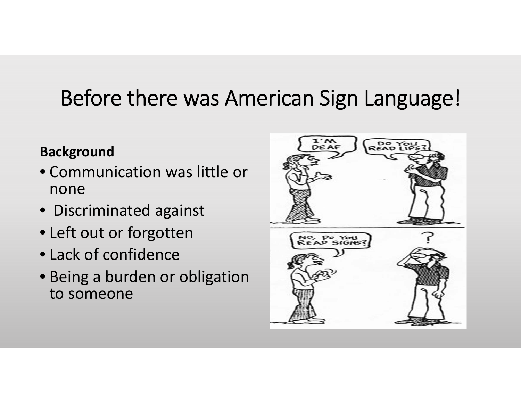# Before there was American Sign Language!

#### **Background**

- Communication was little or none
- Discriminated against
- Left out or forgotten
- Lack of confidence
- Being a burden or obligation to someone

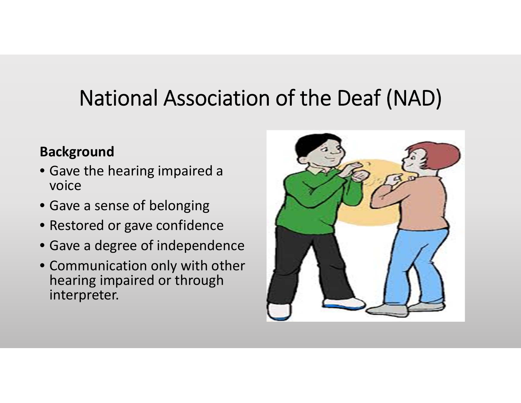# National Association of the Deaf (NAD)

#### **Background**

- Gave the hearing impaired a voice
- Gave a sense of belonging
- Restored or gave confidence
- Gave a degree of independence
- Communication only with other hearing impaired or through interpreter.

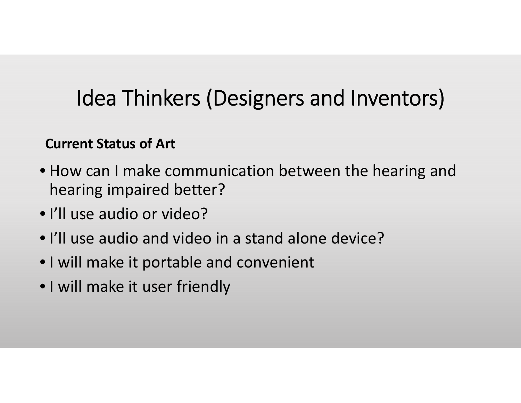# Idea Thinkers (Designers and Inventors)

#### **Current Status of Art**

- How can I make communication between the hearing and hearing impaired better?
- I'll use audio or video?
- I'll use audio and video in a stand alone device?
- I will make it portable and convenient
- I will make it user friendly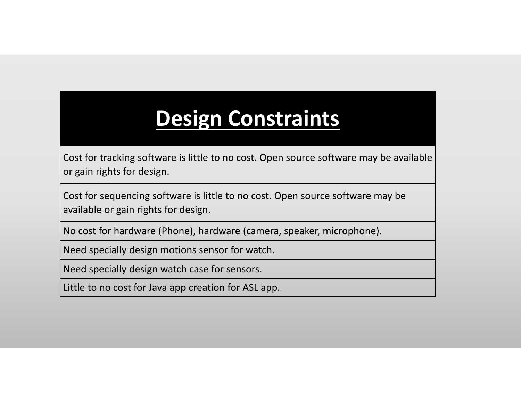### **Design Constraints**

Cost for tracking software is little to no cost. Open source software may be available or gain rights for design.

Cost for sequencing software is little to no cost. Open source software may be available or gain rights for design.

No cost for hardware (Phone), hardware (camera, speaker, microphone).

Need specially design motions sensor for watch.

Need specially design watch case for sensors.

Little to no cost for Java app creation for ASL app.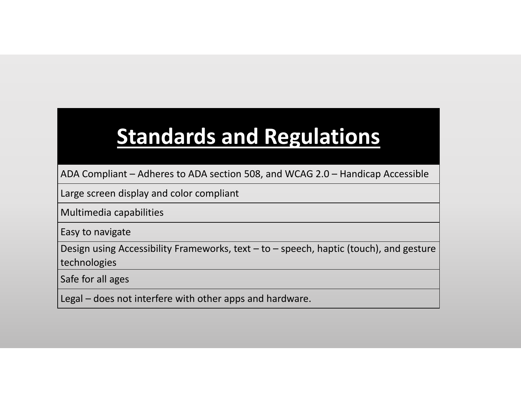# **Standards and Regulations**

ADA Compliant – Adheres to ADA section 508, and WCAG 2.0 – Handicap Accessible

Large screen display and color compliant

Multimedia capabilities

Easy to navigate

Design using Accessibility Frameworks, text – to – speech, haptic (touch), and gesture technologies

Safe for all ages

Legal – does not interfere with other apps and hardware.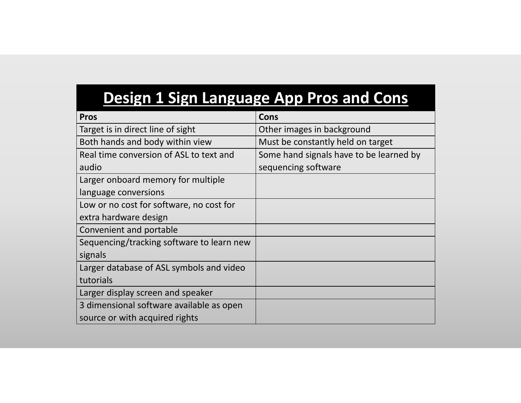#### **Design 1 Sign Language App Pros and Cons**

| <b>Pros</b>                               | <b>Cons</b>                             |
|-------------------------------------------|-----------------------------------------|
| Target is in direct line of sight         | Other images in background              |
| Both hands and body within view           | Must be constantly held on target       |
| Real time conversion of ASL to text and   | Some hand signals have to be learned by |
| audio                                     | sequencing software                     |
| Larger onboard memory for multiple        |                                         |
| language conversions                      |                                         |
| Low or no cost for software, no cost for  |                                         |
| extra hardware design                     |                                         |
| Convenient and portable                   |                                         |
| Sequencing/tracking software to learn new |                                         |
| signals                                   |                                         |
| Larger database of ASL symbols and video  |                                         |
| tutorials                                 |                                         |
| Larger display screen and speaker         |                                         |
| 3 dimensional software available as open  |                                         |
| source or with acquired rights            |                                         |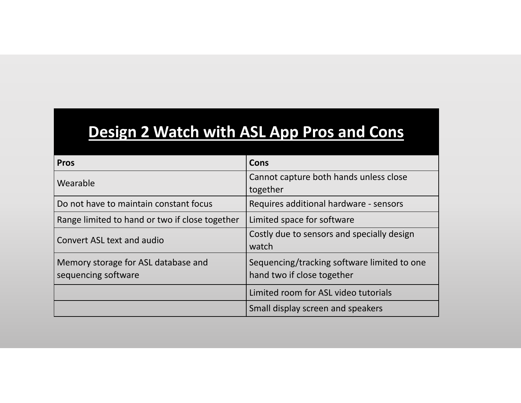#### **Design 2 Watch with ASL App Pros and Cons**

| <b>Pros</b>                                                | <b>Cons</b>                                                               |  |  |
|------------------------------------------------------------|---------------------------------------------------------------------------|--|--|
| Wearable                                                   | Cannot capture both hands unless close<br>together                        |  |  |
| Do not have to maintain constant focus                     | Requires additional hardware - sensors                                    |  |  |
| Range limited to hand or two if close together             | Limited space for software                                                |  |  |
| Convert ASL text and audio                                 | Costly due to sensors and specially design<br>watch                       |  |  |
| Memory storage for ASL database and<br>sequencing software | Sequencing/tracking software limited to one<br>hand two if close together |  |  |
|                                                            | Limited room for ASL video tutorials                                      |  |  |
|                                                            | Small display screen and speakers                                         |  |  |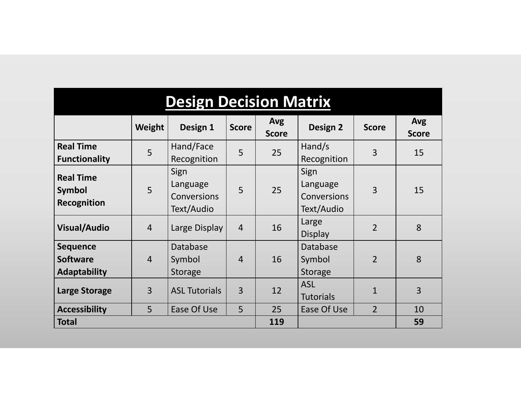| <b>Design Decision Matrix</b>                             |                |                                                      |                |                            |                                                      |                |                            |  |  |
|-----------------------------------------------------------|----------------|------------------------------------------------------|----------------|----------------------------|------------------------------------------------------|----------------|----------------------------|--|--|
|                                                           | Weight         | Design 1                                             | <b>Score</b>   | <b>Avg</b><br><b>Score</b> | Design 2                                             | <b>Score</b>   | <b>Avg</b><br><b>Score</b> |  |  |
| <b>Real Time</b><br><b>Functionality</b>                  | 5              | Hand/Face<br>Recognition                             | 5              | 25                         | Hand/s<br>Recognition                                | 3              | 15                         |  |  |
| <b>Real Time</b><br><b>Symbol</b><br>Recognition          | 5              | Sign<br>Language<br><b>Conversions</b><br>Text/Audio | 5              | 25                         | Sign<br>Language<br><b>Conversions</b><br>Text/Audio | $\overline{3}$ | 15                         |  |  |
| <b>Visual/Audio</b>                                       | $\overline{4}$ | Large Display                                        | $\overline{4}$ | 16                         | Large<br><b>Display</b>                              | $\overline{2}$ | 8                          |  |  |
| <b>Sequence</b><br><b>Software</b><br><b>Adaptability</b> | $\overline{4}$ | Database<br>Symbol<br><b>Storage</b>                 | $\overline{4}$ | 16                         | Database<br>Symbol<br><b>Storage</b>                 | $\overline{2}$ | 8                          |  |  |
| <b>Large Storage</b>                                      | $\overline{3}$ | <b>ASL Tutorials</b>                                 | $\overline{3}$ | 12                         | <b>ASL</b><br><b>Tutorials</b>                       | $\mathbf{1}$   | $\overline{3}$             |  |  |
| <b>Accessibility</b>                                      | 5              | Ease Of Use                                          | 5              | 25                         | Ease Of Use                                          | $\overline{2}$ | 10                         |  |  |
| <b>Total</b>                                              |                |                                                      | 119            |                            |                                                      | 59             |                            |  |  |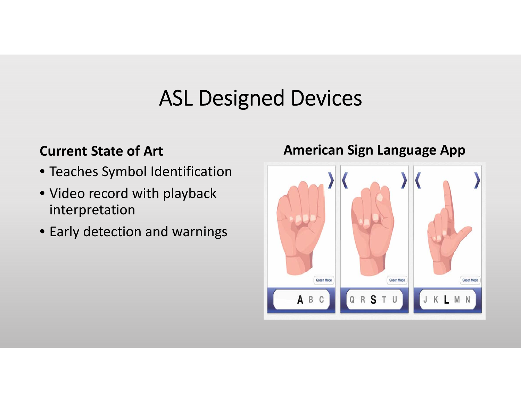### ASL Designed Devices

#### **Current State of Art**

- Teaches Symbol Identification
- Video record with playback interpretation
- Early detection and warnings

**American Sign Language App**

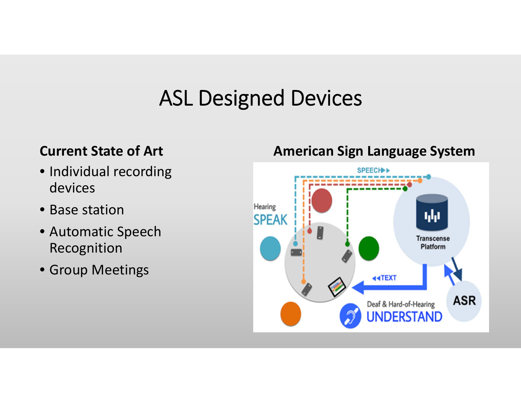### ASL Designed Devices

#### **Current State of Art**

- Individual recording devices
- Base station
- Automatic Speech Recognition
- Group Meetings

#### **American Sign Language System**

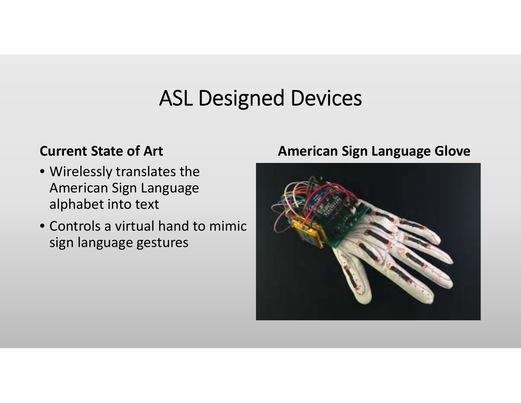### ASL Designed Devices

#### **Current State of Art**

- Wirelessly translates the American Sign Language alphabet into text
- Controls a virtual hand to mimic sign language gestures

#### **American Sign Language Glove**

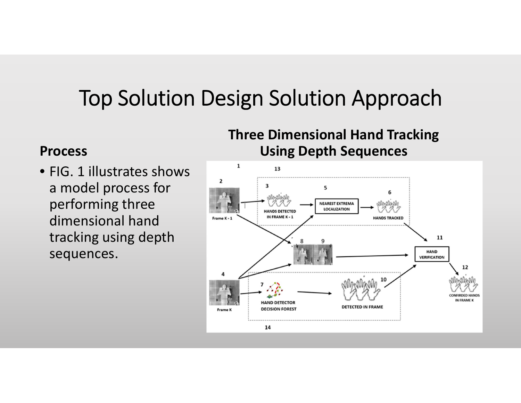#### **Process**

• FIG. 1 illustrates shows a model process for performing three dimensional hand tracking using depth sequences.

#### **Three Dimensional Hand Tracking Using Depth Sequences**

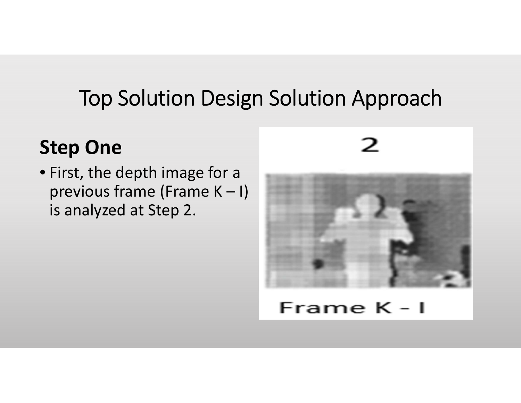### **Step One**

• First, the depth image for a previous frame (Frame  $K - I$ ) is analyzed at Step 2.

2



#### Frame K-I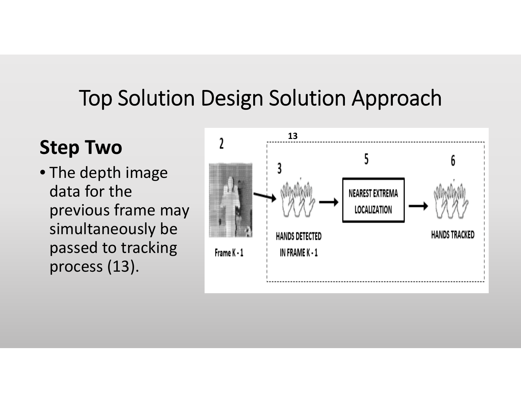### **Step Two**

• The depth image data for the previous frame may simultaneously be passed to tracking process (13).

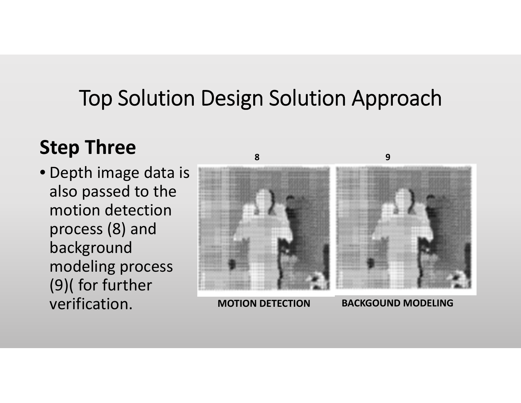### **Step Three**

• Depth image data is also passed to the motion detection process (8) and background modeling process (9)( for further verification.

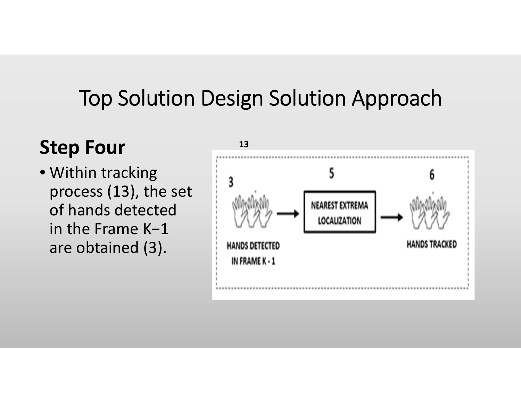### **Step Four**

• Within tracking process (13), the set of hands detected in the Frame K−1 are obtained (3).

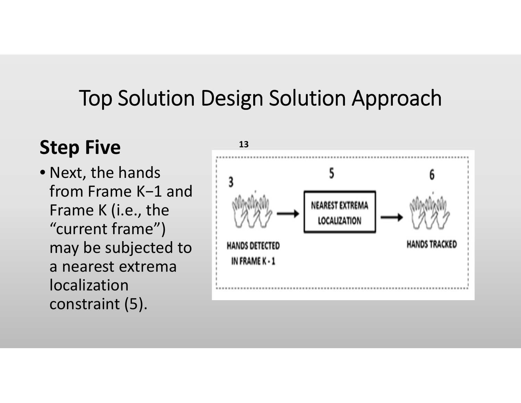### **Step Five**

• Next, the hands from Frame K−1 and Frame K (i.e., the "current frame") may be subjected to a nearest extrema localization constraint (5).

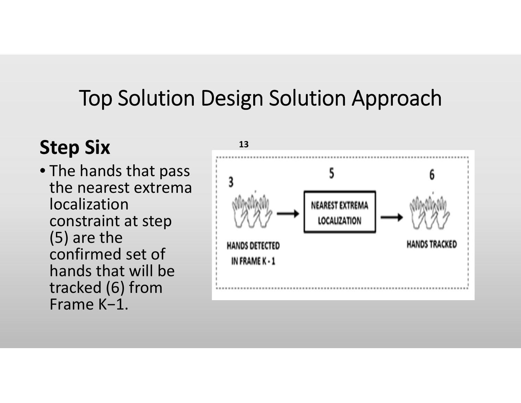### **Step Six**

• The hands that pass the nearest extrema localization constraint at step (5) are the confirmed set of hands that will be tracked (6) from Frame K−1.

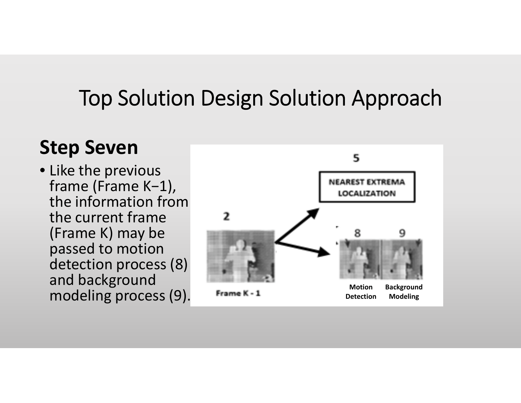### **Step Seven**

• Like the previous frame (Frame K−1), the information from the current frame (Frame K) may be passed to motion detection process (8) and background modeling process (9).

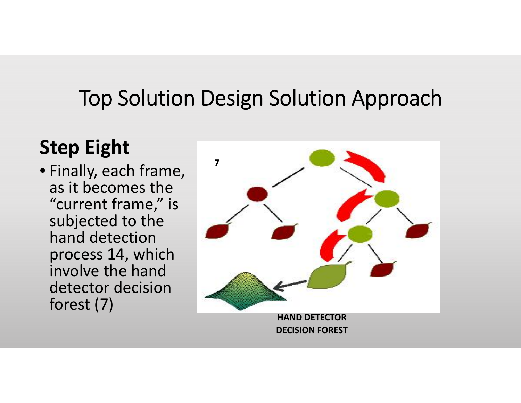### **Step Eight**

• Finally, each frame, as it becomes the "current frame," is subjected to the hand detection process 14, which involve the hand detector decision forest (7)



**HAND DETECTOR DECISION FOREST**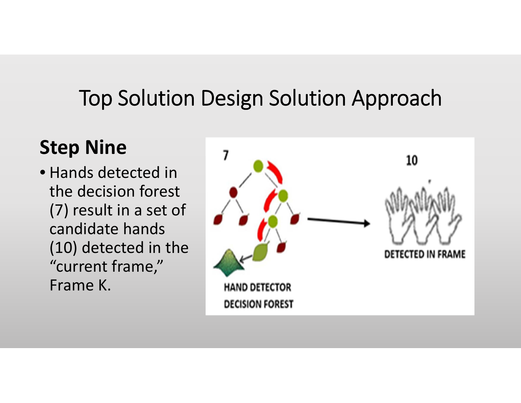### **Step Nine**

• Hands detected in the decision forest (7) result in a set of candidate hands (10) detected in the "current frame," Frame K.

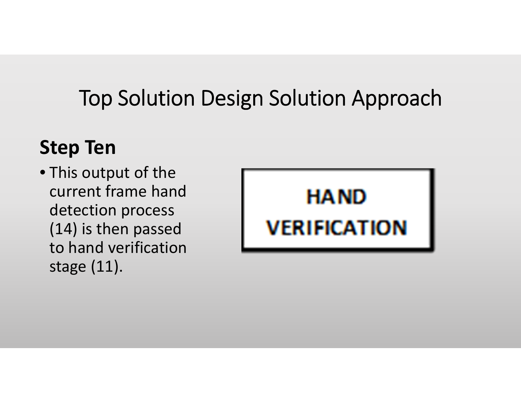### **Step Ten**

• This output of the current frame hand detection process (14) is then passed to hand verification stage (11).

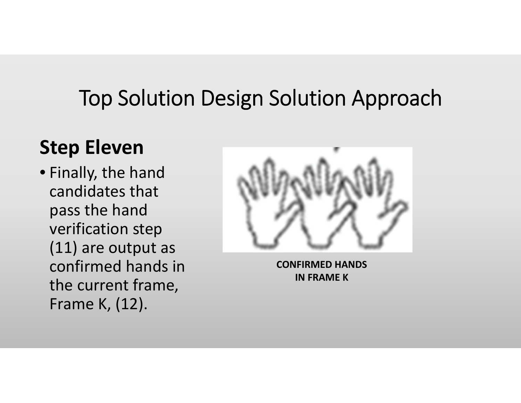### **Step Eleven**

• Finally, the hand candidates that pass the hand verification step (11) are output as confirmed hands in the current frame, Frame K, (12).



**CONFIRMED HANDS IN FRAME K**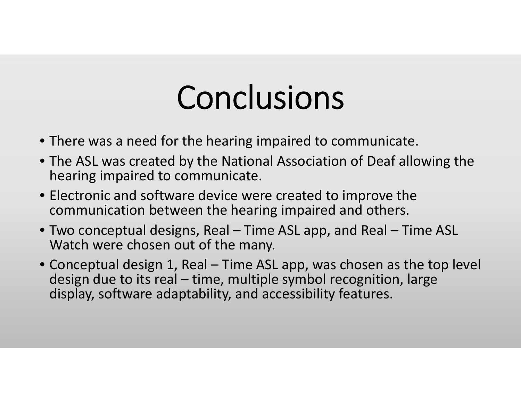# Conclusions

- There was a need for the hearing impaired to communicate.
- The ASL was created by the National Association of Deaf allowing the hearing impaired to communicate.
- Electronic and software device were created to improve the communication between the hearing impaired and others.
- Two conceptual designs, Real Time ASL app, and Real Time ASL Watch were chosen out of the many.
- Conceptual design 1, Real Time ASL app, was chosen as the top level design due to its real – time, multiple symbol recognition, large display, software adaptability, and accessibility features.